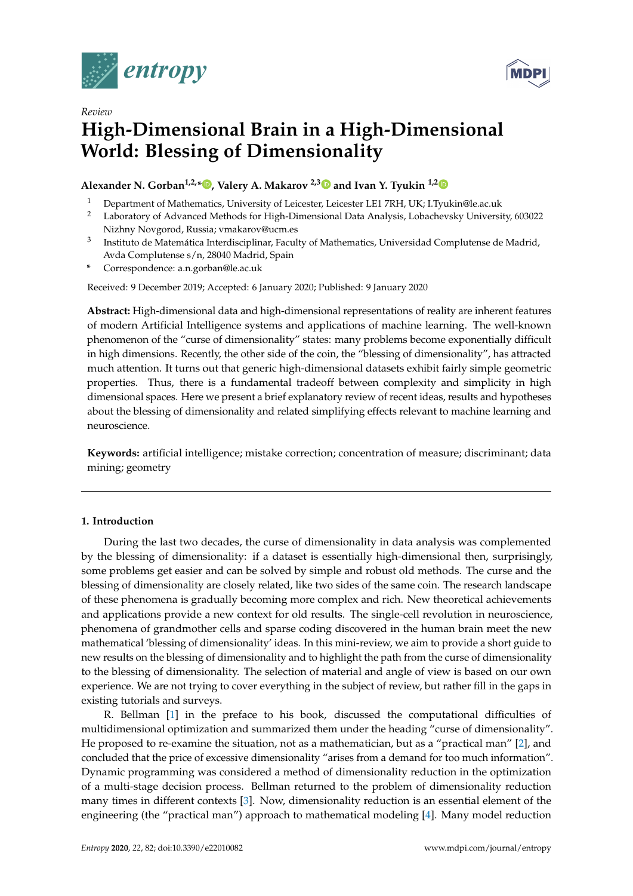

*Review*



# **High-Dimensional Brain in a High-Dimensional World: Blessing of Dimensionality**

# **Alexander N. Gorban1,2,[\\*](https://orcid.org/0000-0001-6224-1430) , Valery A. Makarov 2,[3](https://orcid.org/0000-0001-8789-7532) and Ivan Y. Tyukin 1,[2](https://orcid.org/0000-0002-7359-7966)**

- <sup>1</sup> Department of Mathematics, University of Leicester, Leicester LE1 7RH, UK; I.Tyukin@le.ac.uk
- <sup>2</sup> Laboratory of Advanced Methods for High-Dimensional Data Analysis, Lobachevsky University, 603022 Nizhny Novgorod, Russia; vmakarov@ucm.es
- 3 Instituto de Matemática Interdisciplinar, Faculty of Mathematics, Universidad Complutense de Madrid, Avda Complutense s/n, 28040 Madrid, Spain
- **\*** Correspondence: a.n.gorban@le.ac.uk

Received: 9 December 2019; Accepted: 6 January 2020; Published: 9 January 2020

**Abstract:** High-dimensional data and high-dimensional representations of reality are inherent features of modern Artificial Intelligence systems and applications of machine learning. The well-known phenomenon of the "curse of dimensionality" states: many problems become exponentially difficult in high dimensions. Recently, the other side of the coin, the "blessing of dimensionality", has attracted much attention. It turns out that generic high-dimensional datasets exhibit fairly simple geometric properties. Thus, there is a fundamental tradeoff between complexity and simplicity in high dimensional spaces. Here we present a brief explanatory review of recent ideas, results and hypotheses about the blessing of dimensionality and related simplifying effects relevant to machine learning and neuroscience.

**Keywords:** artificial intelligence; mistake correction; concentration of measure; discriminant; data mining; geometry

# **1. Introduction**

During the last two decades, the curse of dimensionality in data analysis was complemented by the blessing of dimensionality: if a dataset is essentially high-dimensional then, surprisingly, some problems get easier and can be solved by simple and robust old methods. The curse and the blessing of dimensionality are closely related, like two sides of the same coin. The research landscape of these phenomena is gradually becoming more complex and rich. New theoretical achievements and applications provide a new context for old results. The single-cell revolution in neuroscience, phenomena of grandmother cells and sparse coding discovered in the human brain meet the new mathematical 'blessing of dimensionality' ideas. In this mini-review, we aim to provide a short guide to new results on the blessing of dimensionality and to highlight the path from the curse of dimensionality to the blessing of dimensionality. The selection of material and angle of view is based on our own experience. We are not trying to cover everything in the subject of review, but rather fill in the gaps in existing tutorials and surveys.

R. Bellman [\[1\]](#page-12-0) in the preface to his book, discussed the computational difficulties of multidimensional optimization and summarized them under the heading "curse of dimensionality". He proposed to re-examine the situation, not as a mathematician, but as a "practical man" [\[2\]](#page-12-1), and concluded that the price of excessive dimensionality "arises from a demand for too much information". Dynamic programming was considered a method of dimensionality reduction in the optimization of a multi-stage decision process. Bellman returned to the problem of dimensionality reduction many times in different contexts [\[3\]](#page-12-2). Now, dimensionality reduction is an essential element of the engineering (the "practical man") approach to mathematical modeling [\[4\]](#page-12-3). Many model reduction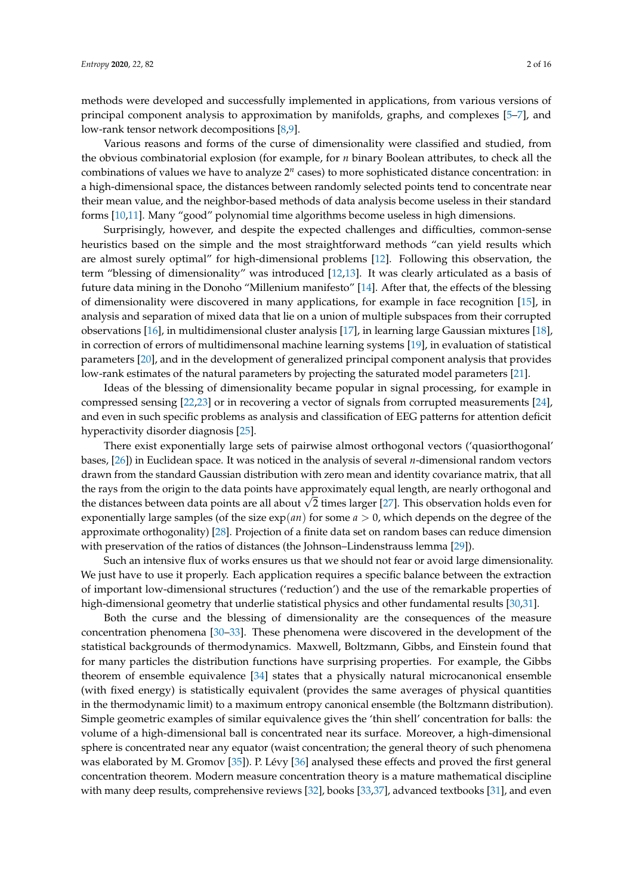methods were developed and successfully implemented in applications, from various versions of principal component analysis to approximation by manifolds, graphs, and complexes [\[5–](#page-12-4)[7\]](#page-13-0), and low-rank tensor network decompositions [\[8,](#page-13-1)[9\]](#page-13-2).

Various reasons and forms of the curse of dimensionality were classified and studied, from the obvious combinatorial explosion (for example, for *n* binary Boolean attributes, to check all the combinations of values we have to analyze 2<sup>n</sup> cases) to more sophisticated distance concentration: in a high-dimensional space, the distances between randomly selected points tend to concentrate near their mean value, and the neighbor-based methods of data analysis become useless in their standard forms [\[10,](#page-13-3)[11\]](#page-13-4). Many "good" polynomial time algorithms become useless in high dimensions.

Surprisingly, however, and despite the expected challenges and difficulties, common-sense heuristics based on the simple and the most straightforward methods "can yield results which are almost surely optimal" for high-dimensional problems [\[12\]](#page-13-5). Following this observation, the term "blessing of dimensionality" was introduced [\[12,](#page-13-5)[13\]](#page-13-6). It was clearly articulated as a basis of future data mining in the Donoho "Millenium manifesto" [\[14\]](#page-13-7). After that, the effects of the blessing of dimensionality were discovered in many applications, for example in face recognition [\[15\]](#page-13-8), in analysis and separation of mixed data that lie on a union of multiple subspaces from their corrupted observations [\[16\]](#page-13-9), in multidimensional cluster analysis [\[17\]](#page-13-10), in learning large Gaussian mixtures [\[18\]](#page-13-11), in correction of errors of multidimensonal machine learning systems [\[19\]](#page-13-12), in evaluation of statistical parameters [\[20\]](#page-13-13), and in the development of generalized principal component analysis that provides low-rank estimates of the natural parameters by projecting the saturated model parameters [\[21\]](#page-13-14).

Ideas of the blessing of dimensionality became popular in signal processing, for example in compressed sensing [\[22](#page-13-15)[,23\]](#page-13-16) or in recovering a vector of signals from corrupted measurements [\[24\]](#page-13-17), and even in such specific problems as analysis and classification of EEG patterns for attention deficit hyperactivity disorder diagnosis [\[25\]](#page-13-18).

There exist exponentially large sets of pairwise almost orthogonal vectors ('quasiorthogonal' bases, [\[26\]](#page-13-19)) in Euclidean space. It was noticed in the analysis of several *n*-dimensional random vectors drawn from the standard Gaussian distribution with zero mean and identity covariance matrix, that all the rays from the origin to the data points have approximately equal length, are nearly orthogonal and the rays from the oright to the data points have approximately equal length, are hearly orthogonal and the distances between data points are all about  $\sqrt{2}$  times larger [\[27\]](#page-14-0). This observation holds even for exponentially large samples (of the size  $exp(an)$  for some  $a > 0$ , which depends on the degree of the approximate orthogonality) [\[28\]](#page-14-1). Projection of a finite data set on random bases can reduce dimension with preservation of the ratios of distances (the Johnson–Lindenstrauss lemma [\[29\]](#page-14-2)).

Such an intensive flux of works ensures us that we should not fear or avoid large dimensionality. We just have to use it properly. Each application requires a specific balance between the extraction of important low-dimensional structures ('reduction') and the use of the remarkable properties of high-dimensional geometry that underlie statistical physics and other fundamental results [\[30](#page-14-3)[,31\]](#page-14-4).

Both the curse and the blessing of dimensionality are the consequences of the measure concentration phenomena [\[30–](#page-14-3)[33\]](#page-14-5). These phenomena were discovered in the development of the statistical backgrounds of thermodynamics. Maxwell, Boltzmann, Gibbs, and Einstein found that for many particles the distribution functions have surprising properties. For example, the Gibbs theorem of ensemble equivalence [\[34\]](#page-14-6) states that a physically natural microcanonical ensemble (with fixed energy) is statistically equivalent (provides the same averages of physical quantities in the thermodynamic limit) to a maximum entropy canonical ensemble (the Boltzmann distribution). Simple geometric examples of similar equivalence gives the 'thin shell' concentration for balls: the volume of a high-dimensional ball is concentrated near its surface. Moreover, a high-dimensional sphere is concentrated near any equator (waist concentration; the general theory of such phenomena was elaborated by M. Gromov [\[35\]](#page-14-7)). P. Lévy [\[36\]](#page-14-8) analysed these effects and proved the first general concentration theorem. Modern measure concentration theory is a mature mathematical discipline with many deep results, comprehensive reviews [\[32\]](#page-14-9), books [\[33](#page-14-5)[,37\]](#page-14-10), advanced textbooks [\[31\]](#page-14-4), and even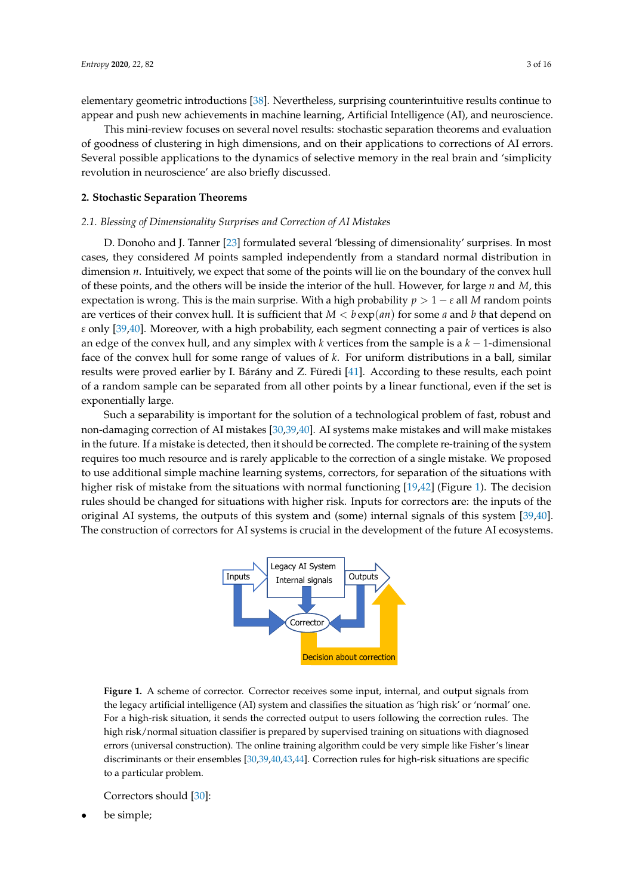elementary geometric introductions [\[38\]](#page-14-11). Nevertheless, surprising counterintuitive results continue to appear and push new achievements in machine learning, Artificial Intelligence (AI), and neuroscience.

This mini-review focuses on several novel results: stochastic separation theorems and evaluation of goodness of clustering in high dimensions, and on their applications to corrections of AI errors. Several possible applications to the dynamics of selective memory in the real brain and 'simplicity revolution in neuroscience' are also briefly discussed.

# **2. Stochastic Separation Theorems**

#### *2.1. Blessing of Dimensionality Surprises and Correction of AI Mistakes*

D. Donoho and J. Tanner [\[23\]](#page-13-16) formulated several 'blessing of dimensionality' surprises. In most cases, they considered *M* points sampled independently from a standard normal distribution in dimension *n*. Intuitively, we expect that some of the points will lie on the boundary of the convex hull of these points, and the others will be inside the interior of the hull. However, for large *n* and *M*, this expectation is wrong. This is the main surprise. With a high probability  $p > 1 - \varepsilon$  all M random points are vertices of their convex hull. It is sufficient that  $M < b \exp(an)$  for some *a* and *b* that depend on *ε* only [\[39](#page-14-12)[,40\]](#page-14-13). Moreover, with a high probability, each segment connecting a pair of vertices is also an edge of the convex hull, and any simplex with *k* vertices from the sample is a *k* − 1-dimensional face of the convex hull for some range of values of *k*. For uniform distributions in a ball, similar results were proved earlier by I. Bárány and Z. Füredi [\[41\]](#page-14-14). According to these results, each point of a random sample can be separated from all other points by a linear functional, even if the set is exponentially large.

Such a separability is important for the solution of a technological problem of fast, robust and non-damaging correction of AI mistakes [\[30](#page-14-3)[,39](#page-14-12)[,40\]](#page-14-13). AI systems make mistakes and will make mistakes in the future. If a mistake is detected, then it should be corrected. The complete re-training of the system requires too much resource and is rarely applicable to the correction of a single mistake. We proposed to use additional simple machine learning systems, correctors, for separation of the situations with higher risk of mistake from the situations with normal functioning [\[19](#page-13-12)[,42\]](#page-14-15) (Figure [1\)](#page-2-0). The decision rules should be changed for situations with higher risk. Inputs for correctors are: the inputs of the original AI systems, the outputs of this system and (some) internal signals of this system [\[39,](#page-14-12)[40\]](#page-14-13). The construction of correctors for AI systems is crucial in the development of the future AI ecosystems.

<span id="page-2-0"></span>

**Figure 1.** A scheme of corrector. Corrector receives some input, internal, and output signals from the legacy artificial intelligence (AI) system and classifies the situation as 'high risk' or 'normal' one. For a high-risk situation, it sends the corrected output to users following the correction rules. The high risk/normal situation classifier is prepared by supervised training on situations with diagnosed errors (universal construction). The online training algorithm could be very simple like Fisher's linear discriminants or their ensembles [\[30](#page-14-3)[,39,](#page-14-12)[40,](#page-14-13)[43](#page-14-16)[,44\]](#page-14-17). Correction rules for high-risk situations are specific to a particular problem.

Correctors should [\[30\]](#page-14-3):

• be simple;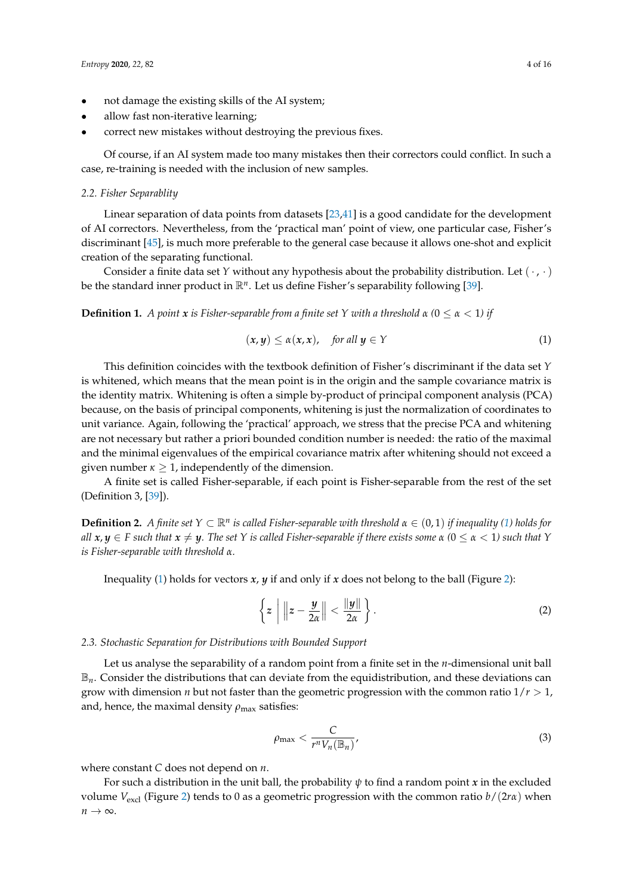- not damage the existing skills of the AI system;
- allow fast non-iterative learning;
- correct new mistakes without destroying the previous fixes.

Of course, if an AI system made too many mistakes then their correctors could conflict. In such a case, re-training is needed with the inclusion of new samples.

#### *2.2. Fisher Separablity*

Linear separation of data points from datasets [\[23,](#page-13-16)[41\]](#page-14-14) is a good candidate for the development of AI correctors. Nevertheless, from the 'practical man' point of view, one particular case, Fisher's discriminant [\[45\]](#page-14-18), is much more preferable to the general case because it allows one-shot and explicit creation of the separating functional.

Consider a finite data set *Y* without any hypothesis about the probability distribution. Let  $(\cdot, \cdot)$ be the standard inner product in R*<sup>n</sup>* . Let us define Fisher's separability following [\[39\]](#page-14-12).

**Definition 1.** *A point*  $x$  *is Fisher-separable from a finite set Y with a threshold*  $\alpha$  (0  $\leq \alpha < 1$ ) *if* 

<span id="page-3-0"></span>
$$
(x, y) \le \alpha(x, x), \quad \text{for all } y \in Y \tag{1}
$$

This definition coincides with the textbook definition of Fisher's discriminant if the data set *Y* is whitened, which means that the mean point is in the origin and the sample covariance matrix is the identity matrix. Whitening is often a simple by-product of principal component analysis (PCA) because, on the basis of principal components, whitening is just the normalization of coordinates to unit variance. Again, following the 'practical' approach, we stress that the precise PCA and whitening are not necessary but rather a priori bounded condition number is needed: the ratio of the maximal and the minimal eigenvalues of the empirical covariance matrix after whitening should not exceed a given number  $\kappa \geq 1$ , independently of the dimension.

A finite set is called Fisher-separable, if each point is Fisher-separable from the rest of the set (Definition 3, [\[39\]](#page-14-12)).

**Definition 2.** A finite set  $Y \subset \mathbb{R}^n$  is called Fisher-separable with threshold  $\alpha \in (0,1)$  if inequality [\(1\)](#page-3-0) holds for *all*  $x, y \in F$  *such that*  $x \neq y$ *. The set Y is called Fisher-separable if there exists some*  $\alpha$  ( $0 \leq \alpha < 1$ *) such that Y is Fisher-separable with threshold α.*

Inequality [\(1\)](#page-3-0) holds for vectors  $x$ ,  $y$  if and only if  $x$  does not belong to the ball (Figure [2\)](#page-4-0):

$$
\left\{ z \mid ||z - \frac{y}{2\alpha}|| < \frac{||y||}{2\alpha} \right\}.
$$
 (2)

# *2.3. Stochastic Separation for Distributions with Bounded Support*

Let us analyse the separability of a random point from a finite set in the *n*-dimensional unit ball  $\mathbb{B}_n$ . Consider the distributions that can deviate from the equidistribution, and these deviations can grow with dimension *n* but not faster than the geometric progression with the common ratio  $1/r > 1$ , and, hence, the maximal density  $\rho_{\text{max}}$  satisfies:

<span id="page-3-1"></span>
$$
\rho_{\max} < \frac{C}{r^n V_n(\mathbb{B}_n)},\tag{3}
$$

where constant *C* does not depend on *n*.

For such a distribution in the unit ball, the probability *ψ* to find a random point *x* in the excluded volume  $V_{\text{excl}}$  (Figure [2\)](#page-4-0) tends to 0 as a geometric progression with the common ratio  $b/(2r\alpha)$  when *n* → ∞.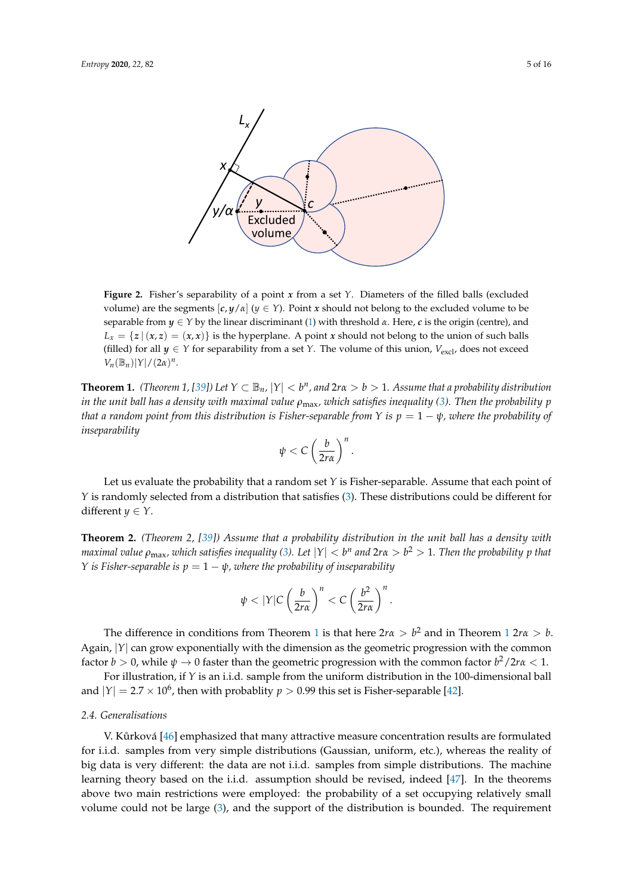<span id="page-4-0"></span>

**Figure 2.** Fisher's separability of a point *x* from a set *Y*. Diameters of the filled balls (excluded volume) are the segments  $[c, y/\alpha]$   $(y \in Y)$ . Point *x* should not belong to the excluded volume to be separable from  $y \in Y$  by the linear discriminant [\(1\)](#page-3-0) with threshold  $\alpha$ . Here,  $c$  is the origin (centre), and  $L_x = \{z \mid (x, z) = (x, x)\}\$ is the hyperplane. A point *x* should not belong to the union of such balls (filled) for all  $y \in Y$  for separability from a set *Y*. The volume of this union,  $V_{\text{excl}}$ , does not exceed  $V_n(\mathbb{B}_n)|Y|/(2\alpha)^n$ .

<span id="page-4-1"></span>**Theorem 1.** *(Theorem 1, [\[39\]](#page-14-12))* Let  $Y \subset \mathbb{B}_n$ ,  $|Y| < b^n$ , and  $2r\alpha > b > 1$ . Assume that a probability distribution *in the unit ball has a density with maximal value ρ*max*, which satisfies inequality [\(3\)](#page-3-1). Then the probability p that a random point from this distribution is Fisher-separable from <i>Y is*  $p = 1 - \psi$ *, where the probability of inseparability*

$$
\psi < C \left(\frac{b}{2r\alpha}\right)^n.
$$

Let us evaluate the probability that a random set *Y* is Fisher-separable. Assume that each point of *Y* is randomly selected from a distribution that satisfies [\(3\)](#page-3-1). These distributions could be different for different *y*  $\in$  *Y*.

<span id="page-4-2"></span>**Theorem 2.** *(Theorem 2, [\[39\]](#page-14-12)) Assume that a probability distribution in the unit ball has a density with maximal value*  $\rho_{\max}$ *, which satisfies inequality [\(3\)](#page-3-1). Let*  $|Y| < b^n$  *and*  $2r\alpha > b^2 > 1$ *. Then the probability*  $p$  *that Y* is Fisher-separable is  $p = 1 - \psi$ , where the probability of inseparability

$$
\psi < |Y| C \left(\frac{b}{2r\alpha}\right)^n < C \left(\frac{b^2}{2r\alpha}\right)^n.
$$

The difference in conditions from Theorem [1](#page-4-1) is that here  $2r\alpha > b^2$  and in Theorem 1  $2r\alpha > b$ . Again, |*Y*| can grow exponentially with the dimension as the geometric progression with the common factor  $b > 0$ , while  $\psi \to 0$  faster than the geometric progression with the common factor  $b^2/2r\alpha < 1$ .

For illustration, if *Y* is an i.i.d. sample from the uniform distribution in the 100-dimensional ball and  $|Y| = 2.7 \times 10^6$ , then with probablity  $p > 0.99$  this set is Fisher-separable [\[42\]](#page-14-15).

# *2.4. Generalisations*

V. Kůrková [\[46\]](#page-14-19) emphasized that many attractive measure concentration results are formulated for i.i.d. samples from very simple distributions (Gaussian, uniform, etc.), whereas the reality of big data is very different: the data are not i.i.d. samples from simple distributions. The machine learning theory based on the i.i.d. assumption should be revised, indeed [\[47\]](#page-14-20). In the theorems above two main restrictions were employed: the probability of a set occupying relatively small volume could not be large [\(3\)](#page-3-1), and the support of the distribution is bounded. The requirement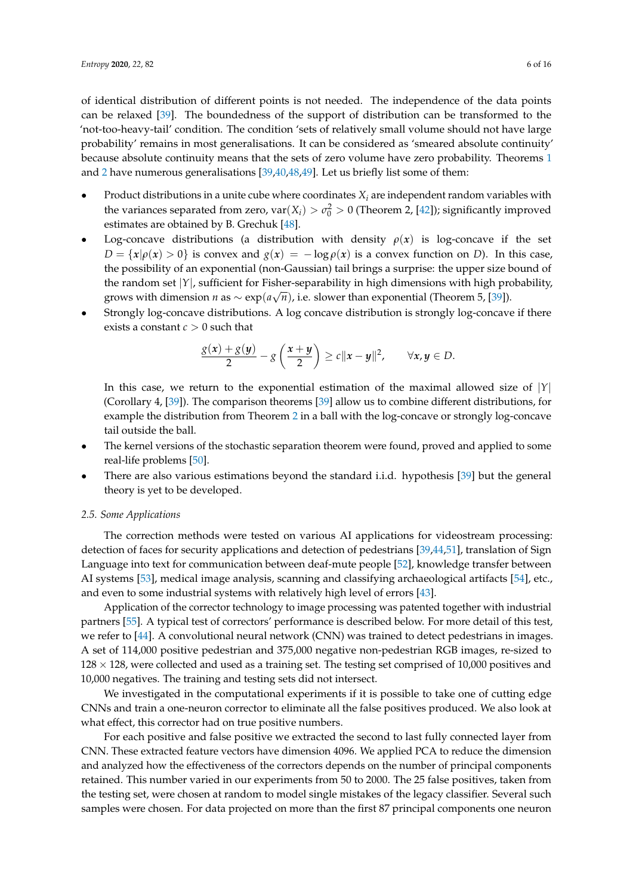of identical distribution of different points is not needed. The independence of the data points can be relaxed [\[39\]](#page-14-12). The boundedness of the support of distribution can be transformed to the 'not-too-heavy-tail' condition. The condition 'sets of relatively small volume should not have large probability' remains in most generalisations. It can be considered as 'smeared absolute continuity' because absolute continuity means that the sets of zero volume have zero probability. Theorems [1](#page-4-1) and [2](#page-4-2) have numerous generalisations [\[39,](#page-14-12)[40](#page-14-13)[,48](#page-14-21)[,49\]](#page-14-22). Let us briefly list some of them:

- Product distributions in a unite cube where coordinates *X<sup>i</sup>* are independent random variables with the variances separated from zero,  $var(X_i) > \sigma_0^2 > 0$  (Theorem 2, [\[42\]](#page-14-15)); significantly improved estimates are obtained by B. Grechuk [\[48\]](#page-14-21).
- Log-concave distributions (a distribution with density  $\rho(x)$  is log-concave if the set  $D = \{x | \rho(x) > 0\}$  is convex and  $g(x) = -\log \rho(x)$  is a convex function on *D*). In this case, the possibility of an exponential (non-Gaussian) tail brings a surprise: the upper size bound of the random set  $|Y|$ , sufficient for Fisher-separability in high dimensions with high probability, grows with dimension *n* as  $\sim \exp(a\sqrt{n})$ , i.e. slower than exponential (Theorem 5, [\[39\]](#page-14-12)).
- Strongly log-concave distributions. A log concave distribution is strongly log-concave if there exists a constant *c* > 0 such that

$$
\frac{g(x)+g(y)}{2}-g\left(\frac{x+y}{2}\right)\geq c\|x-y\|^2,\qquad \forall x,y\in D.
$$

In this case, we return to the exponential estimation of the maximal allowed size of  $|Y|$ (Corollary 4, [\[39\]](#page-14-12)). The comparison theorems [\[39\]](#page-14-12) allow us to combine different distributions, for example the distribution from Theorem [2](#page-4-2) in a ball with the log-concave or strongly log-concave tail outside the ball.

- The kernel versions of the stochastic separation theorem were found, proved and applied to some real-life problems [\[50\]](#page-14-23).
- There are also various estimations beyond the standard i.i.d. hypothesis [\[39\]](#page-14-12) but the general theory is yet to be developed.

#### *2.5. Some Applications*

The correction methods were tested on various AI applications for videostream processing: detection of faces for security applications and detection of pedestrians [\[39](#page-14-12)[,44](#page-14-17)[,51\]](#page-15-0), translation of Sign Language into text for communication between deaf-mute people [\[52\]](#page-15-1), knowledge transfer between AI systems [\[53\]](#page-15-2), medical image analysis, scanning and classifying archaeological artifacts [\[54\]](#page-15-3), etc., and even to some industrial systems with relatively high level of errors [\[43\]](#page-14-16).

Application of the corrector technology to image processing was patented together with industrial partners [\[55\]](#page-15-4). A typical test of correctors' performance is described below. For more detail of this test, we refer to [\[44\]](#page-14-17). A convolutional neural network (CNN) was trained to detect pedestrians in images. A set of 114,000 positive pedestrian and 375,000 negative non-pedestrian RGB images, re-sized to  $128 \times 128$ , were collected and used as a training set. The testing set comprised of 10,000 positives and 10,000 negatives. The training and testing sets did not intersect.

We investigated in the computational experiments if it is possible to take one of cutting edge CNNs and train a one-neuron corrector to eliminate all the false positives produced. We also look at what effect, this corrector had on true positive numbers.

For each positive and false positive we extracted the second to last fully connected layer from CNN. These extracted feature vectors have dimension 4096. We applied PCA to reduce the dimension and analyzed how the effectiveness of the correctors depends on the number of principal components retained. This number varied in our experiments from 50 to 2000. The 25 false positives, taken from the testing set, were chosen at random to model single mistakes of the legacy classifier. Several such samples were chosen. For data projected on more than the first 87 principal components one neuron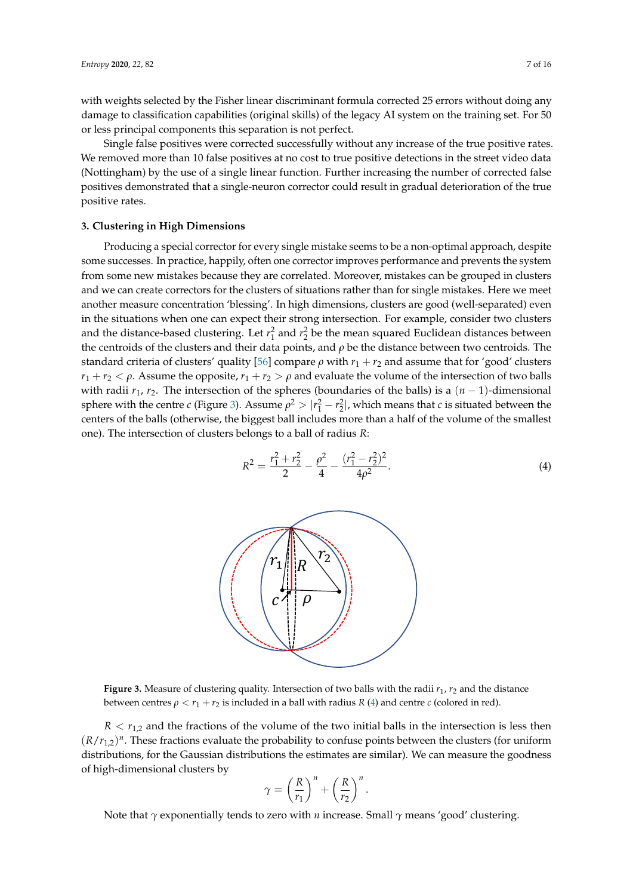with weights selected by the Fisher linear discriminant formula corrected 25 errors without doing any damage to classification capabilities (original skills) of the legacy AI system on the training set. For 50 or less principal components this separation is not perfect.

Single false positives were corrected successfully without any increase of the true positive rates. We removed more than 10 false positives at no cost to true positive detections in the street video data (Nottingham) by the use of a single linear function. Further increasing the number of corrected false positives demonstrated that a single-neuron corrector could result in gradual deterioration of the true positive rates.

# **3. Clustering in High Dimensions**

Producing a special corrector for every single mistake seems to be a non-optimal approach, despite some successes. In practice, happily, often one corrector improves performance and prevents the system from some new mistakes because they are correlated. Moreover, mistakes can be grouped in clusters and we can create correctors for the clusters of situations rather than for single mistakes. Here we meet another measure concentration 'blessing'. In high dimensions, clusters are good (well-separated) even in the situations when one can expect their strong intersection. For example, consider two clusters and the distance-based clustering. Let  $r_1^2$  and  $r_2^2$  be the mean squared Euclidean distances between the centroids of the clusters and their data points, and *ρ* be the distance between two centroids. The standard criteria of clusters' quality [\[56\]](#page-15-5) compare  $ρ$  with  $r_1 + r_2$  and assume that for 'good' clusters *r*<sub>1</sub> + *r*<sub>2</sub>  $\lt$  *ρ*. Assume the opposite, *r*<sub>1</sub> + *r*<sub>2</sub>  $>$  *ρ* and evaluate the volume of the intersection of two balls with radii *r*1, *r*2. The intersection of the spheres (boundaries of the balls) is a (*n* − 1)-dimensional sphere with the centre *c* (Figure [3\)](#page-6-0). Assume  $\rho^2 > |r_1^2 - r_2^2|$ , which means that *c* is situated between the centers of the balls (otherwise, the biggest ball includes more than a half of the volume of the smallest one). The intersection of clusters belongs to a ball of radius *R*:

<span id="page-6-1"></span>
$$
R^{2} = \frac{r_{1}^{2} + r_{2}^{2}}{2} - \frac{\rho^{2}}{4} - \frac{(r_{1}^{2} - r_{2}^{2})^{2}}{4\rho^{2}}.
$$
\n(4)

<span id="page-6-0"></span>

**Figure 3.** Measure of clustering quality. Intersection of two balls with the radii  $r_1$ ,  $r_2$  and the distance between centres  $\rho < r_1 + r_2$  is included in a ball with radius *R* [\(4\)](#page-6-1) and centre *c* (colored in red).

 $R < r_{1,2}$  and the fractions of the volume of the two initial balls in the intersection is less then  $(R/r_{1,2})^n$ . These fractions evaluate the probability to confuse points between the clusters (for uniform distributions, for the Gaussian distributions the estimates are similar). We can measure the goodness of high-dimensional clusters by

$$
\gamma = \left(\frac{R}{r_1}\right)^n + \left(\frac{R}{r_2}\right)^n.
$$

Note that *γ* exponentially tends to zero with *n* increase. Small *γ* means 'good' clustering.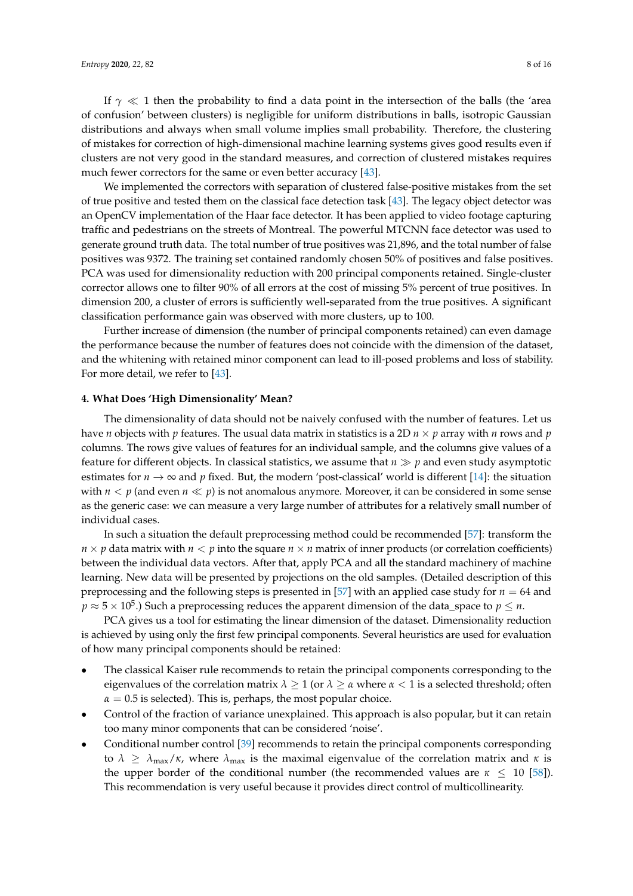If  $\gamma \ll 1$  then the probability to find a data point in the intersection of the balls (the 'area of confusion' between clusters) is negligible for uniform distributions in balls, isotropic Gaussian distributions and always when small volume implies small probability. Therefore, the clustering of mistakes for correction of high-dimensional machine learning systems gives good results even if clusters are not very good in the standard measures, and correction of clustered mistakes requires much fewer correctors for the same or even better accuracy [\[43\]](#page-14-16).

We implemented the correctors with separation of clustered false-positive mistakes from the set of true positive and tested them on the classical face detection task [\[43\]](#page-14-16). The legacy object detector was an OpenCV implementation of the Haar face detector. It has been applied to video footage capturing traffic and pedestrians on the streets of Montreal. The powerful MTCNN face detector was used to generate ground truth data. The total number of true positives was 21,896, and the total number of false positives was 9372. The training set contained randomly chosen 50% of positives and false positives. PCA was used for dimensionality reduction with 200 principal components retained. Single-cluster corrector allows one to filter 90% of all errors at the cost of missing 5% percent of true positives. In dimension 200, a cluster of errors is sufficiently well-separated from the true positives. A significant classification performance gain was observed with more clusters, up to 100.

Further increase of dimension (the number of principal components retained) can even damage the performance because the number of features does not coincide with the dimension of the dataset, and the whitening with retained minor component can lead to ill-posed problems and loss of stability. For more detail, we refer to [\[43\]](#page-14-16).

#### **4. What Does 'High Dimensionality' Mean?**

The dimensionality of data should not be naively confused with the number of features. Let us have *n* objects with *p* features. The usual data matrix in statistics is a 2D *n* × *p* array with *n* rows and *p* columns. The rows give values of features for an individual sample, and the columns give values of a feature for different objects. In classical statistics, we assume that  $n \gg p$  and even study asymptotic estimates for  $n \to \infty$  and p fixed. But, the modern 'post-classical' world is different [\[14\]](#page-13-7): the situation with  $n < p$  (and even  $n \ll p$ ) is not anomalous anymore. Moreover, it can be considered in some sense as the generic case: we can measure a very large number of attributes for a relatively small number of individual cases.

In such a situation the default preprocessing method could be recommended [\[57\]](#page-15-6): transform the  $n \times p$  data matrix with  $n \lt p$  into the square  $n \times n$  matrix of inner products (or correlation coefficients) between the individual data vectors. After that, apply PCA and all the standard machinery of machine learning. New data will be presented by projections on the old samples. (Detailed description of this preprocessing and the following steps is presented in [\[57\]](#page-15-6) with an applied case study for *n* = 64 and  $p\approx$  5  $\times$  10<sup>5</sup>.) Such a preprocessing reduces the apparent dimension of the data\_space to  $p\leq n.$ 

PCA gives us a tool for estimating the linear dimension of the dataset. Dimensionality reduction is achieved by using only the first few principal components. Several heuristics are used for evaluation of how many principal components should be retained:

- The classical Kaiser rule recommends to retain the principal components corresponding to the eigenvalues of the correlation matrix  $\lambda \geq 1$  (or  $\lambda \geq \alpha$  where  $\alpha < 1$  is a selected threshold; often  $\alpha = 0.5$  is selected). This is, perhaps, the most popular choice.
- Control of the fraction of variance unexplained. This approach is also popular, but it can retain too many minor components that can be considered 'noise'.
- Conditional number control [\[39\]](#page-14-12) recommends to retain the principal components corresponding to *λ* ≥  $λ_{max}/κ$ , where  $λ_{max}$  is the maximal eigenvalue of the correlation matrix and *κ* is the upper border of the conditional number (the recommended values are  $\kappa \leq 10$  [\[58\]](#page-15-7)). This recommendation is very useful because it provides direct control of multicollinearity.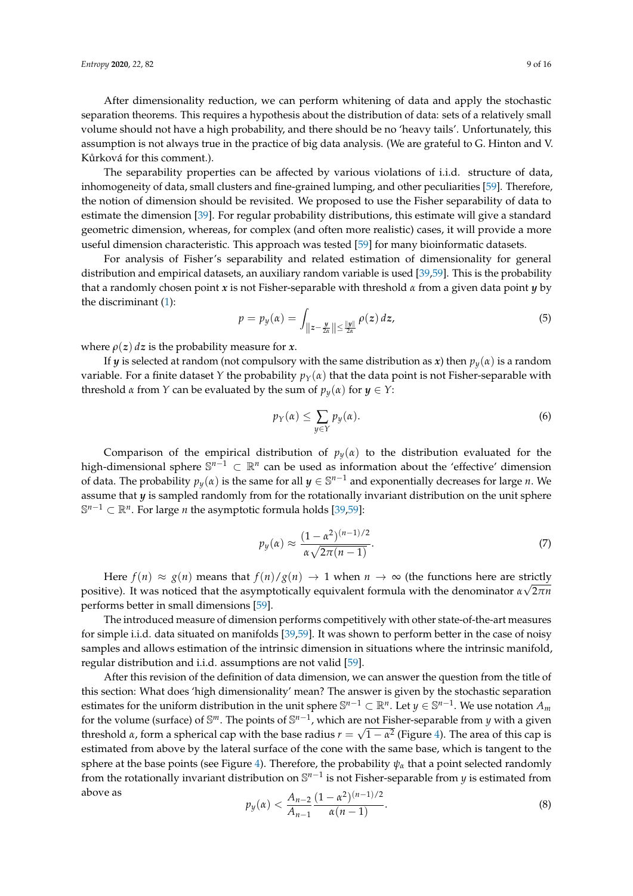After dimensionality reduction, we can perform whitening of data and apply the stochastic separation theorems. This requires a hypothesis about the distribution of data: sets of a relatively small volume should not have a high probability, and there should be no 'heavy tails'. Unfortunately, this assumption is not always true in the practice of big data analysis. (We are grateful to G. Hinton and V. Kůrková for this comment.).

The separability properties can be affected by various violations of i.i.d. structure of data, inhomogeneity of data, small clusters and fine-grained lumping, and other peculiarities [\[59\]](#page-15-8). Therefore, the notion of dimension should be revisited. We proposed to use the Fisher separability of data to estimate the dimension [\[39\]](#page-14-12). For regular probability distributions, this estimate will give a standard geometric dimension, whereas, for complex (and often more realistic) cases, it will provide a more useful dimension characteristic. This approach was tested [\[59\]](#page-15-8) for many bioinformatic datasets.

For analysis of Fisher's separability and related estimation of dimensionality for general distribution and empirical datasets, an auxiliary random variable is used [\[39](#page-14-12)[,59\]](#page-15-8). This is the probability that a randomly chosen point *x* is not Fisher-separable with threshold *α* from a given data point *y* by the discriminant [\(1\)](#page-3-0):

$$
p = p_y(\alpha) = \int_{\left\|z - \frac{y}{2\alpha}\right\| \le \frac{\|y\|}{2\alpha}} \rho(z) \, dz,\tag{5}
$$

where  $\rho(z)$  *dz* is the probability measure for *x*.

If *y* is selected at random (not compulsory with the same distribution as *x*) then  $p_y(x)$  is a random variable. For a finite dataset *Y* the probability  $p_Y(\alpha)$  that the data point is not Fisher-separable with threshold *α* from *Y* can be evaluated by the sum of  $p_y(\alpha)$  for  $y \in Y$ :

$$
p_Y(\alpha) \le \sum_{y \in Y} p_y(\alpha). \tag{6}
$$

Comparison of the empirical distribution of  $p_y(\alpha)$  to the distribution evaluated for the high-dimensional sphere S *<sup>n</sup>*−<sup>1</sup> ⊂ R*<sup>n</sup>* can be used as information about the 'effective' dimension of data. The probability  $p_y(\alpha)$  is the same for all  $y \in \mathbb{S}^{n-1}$  and exponentially decreases for large *n*. We assume that *y* is sampled randomly from for the rotationally invariant distribution on the unit sphere S *<sup>n</sup>*−<sup>1</sup> ⊂ R*<sup>n</sup>* . For large *n* the asymptotic formula holds [\[39](#page-14-12)[,59\]](#page-15-8):

<span id="page-8-1"></span>
$$
p_y(\alpha) \approx \frac{(1-\alpha^2)^{(n-1)/2}}{\alpha\sqrt{2\pi(n-1)}}.
$$
\n(7)

Here  $f(n) \approx g(n)$  means that  $f(n)/g(n) \to 1$  when  $n \to \infty$  (the functions here are strictly positive). It was noticed that the asymptotically equivalent formula with the denominator *α* 2*πn* performs better in small dimensions [\[59\]](#page-15-8).

The introduced measure of dimension performs competitively with other state-of-the-art measures for simple i.i.d. data situated on manifolds [\[39](#page-14-12)[,59\]](#page-15-8). It was shown to perform better in the case of noisy samples and allows estimation of the intrinsic dimension in situations where the intrinsic manifold, regular distribution and i.i.d. assumptions are not valid [\[59\]](#page-15-8).

After this revision of the definition of data dimension, we can answer the question from the title of this section: What does 'high dimensionality' mean? The answer is given by the stochastic separation estimates for the uniform distribution in the unit sphere  $\mathbb{S}^{n-1}\subset\mathbb{R}^n.$  Let  $y\in\mathbb{S}^{n-1}.$  We use notation  $A_m$ for the volume (surface) of  $\mathbb{S}^m$ . The points of  $\mathbb{S}^{n-1}$ , which are not Fisher-separable from *y* with a given threshold *α*, form a spherical cap with the base radius  $r = \sqrt{1 - \alpha^2}$  (Figure [4\)](#page-9-0). The area of this cap is estimated from above by the lateral surface of the cone with the same base, which is tangent to the sphere at the base points (see Figure [4\)](#page-9-0). Therefore, the probability  $\psi_{\alpha}$  that a point selected randomly from the rotationally invariant distribution on S *n*−1 is not Fisher-separable from *y* is estimated from above as 2 (*n*−1)/2

<span id="page-8-0"></span>
$$
p_y(\alpha) < \frac{A_{n-2}}{A_{n-1}} \frac{(1 - \alpha^2)^{(n-1)/2}}{\alpha(n-1)}.\tag{8}
$$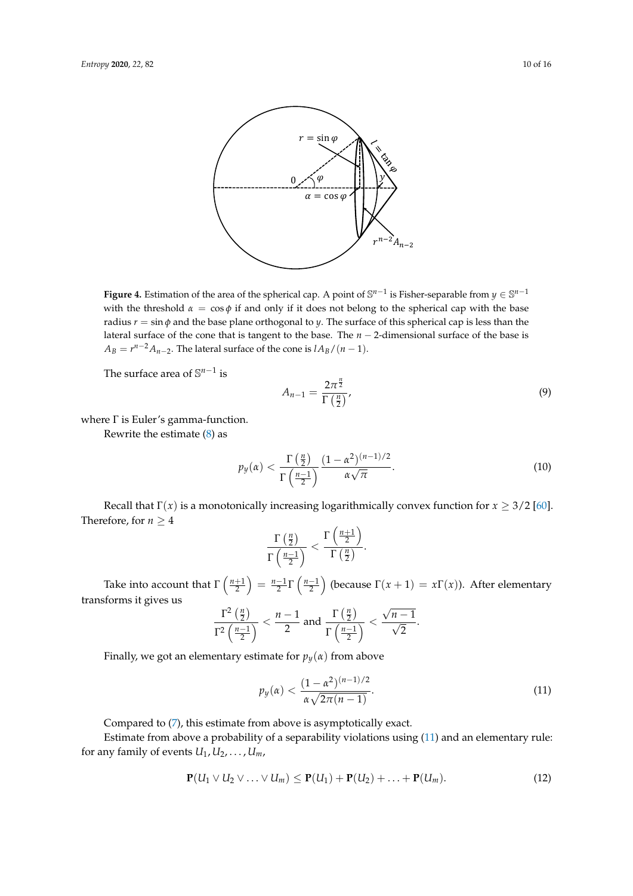<span id="page-9-0"></span>

**Figure 4.** Estimation of the area of the spherical cap. A point of  $\mathbb{S}^{n-1}$  is Fisher-separable from  $y \in \mathbb{S}^{n-1}$ with the threshold  $\alpha = \cos \phi$  if and only if it does not belong to the spherical cap with the base radius *r* = sin *φ* and the base plane orthogonal to *y*. The surface of this spherical cap is less than the lateral surface of the cone that is tangent to the base. The *n* − 2-dimensional surface of the base is  $A_B = r^{n-2}A_{n-2}$ . The lateral surface of the cone is  $lA_B/(n-1)$ .

The surface area of S *n*−1 is

$$
A_{n-1} = \frac{2\pi^{\frac{n}{2}}}{\Gamma\left(\frac{n}{2}\right)},\tag{9}
$$

where Γ is Euler's gamma-function.

Rewrite the estimate [\(8\)](#page-8-0) as

$$
p_y(\alpha) < \frac{\Gamma\left(\frac{n}{2}\right)}{\Gamma\left(\frac{n-1}{2}\right)} \frac{(1-\alpha^2)^{(n-1)/2}}{\alpha\sqrt{\pi}}.\tag{10}
$$

Recall that  $\Gamma(x)$  is a monotonically increasing logarithmically convex function for  $x \geq 3/2$  [\[60\]](#page-15-9). Therefore, for  $n \geq 4$ 

$$
\frac{\Gamma\left(\frac{n}{2}\right)}{\Gamma\left(\frac{n-1}{2}\right)} < \frac{\Gamma\left(\frac{n+1}{2}\right)}{\Gamma\left(\frac{n}{2}\right)}.
$$

Take into account that  $\Gamma\left(\frac{n+1}{2}\right) = \frac{n-1}{2}\Gamma\left(\frac{n-1}{2}\right)$  (because  $\Gamma(x+1) = x\Gamma(x)$ ). After elementary transforms it gives us √

$$
\frac{\Gamma^2\left(\frac{n}{2}\right)}{\Gamma^2\left(\frac{n-1}{2}\right)} < \frac{n-1}{2} \text{ and } \frac{\Gamma\left(\frac{n}{2}\right)}{\Gamma\left(\frac{n-1}{2}\right)} < \frac{\sqrt{n-1}}{\sqrt{2}}.
$$

Finally, we got an elementary estimate for  $p_y(\alpha)$  from above

<span id="page-9-1"></span>
$$
p_y(\alpha) < \frac{(1 - \alpha^2)^{(n-1)/2}}{\alpha \sqrt{2\pi (n-1)}}.\tag{11}
$$

Compared to [\(7\)](#page-8-1), this estimate from above is asymptotically exact.

Estimate from above a probability of a separability violations using [\(11\)](#page-9-1) and an elementary rule: for any family of events  $U_1, U_2, \ldots, U_m$ ,

<span id="page-9-2"></span>
$$
\mathbf{P}(U_1 \vee U_2 \vee \ldots \vee U_m) \leq \mathbf{P}(U_1) + \mathbf{P}(U_2) + \ldots + \mathbf{P}(U_m). \tag{12}
$$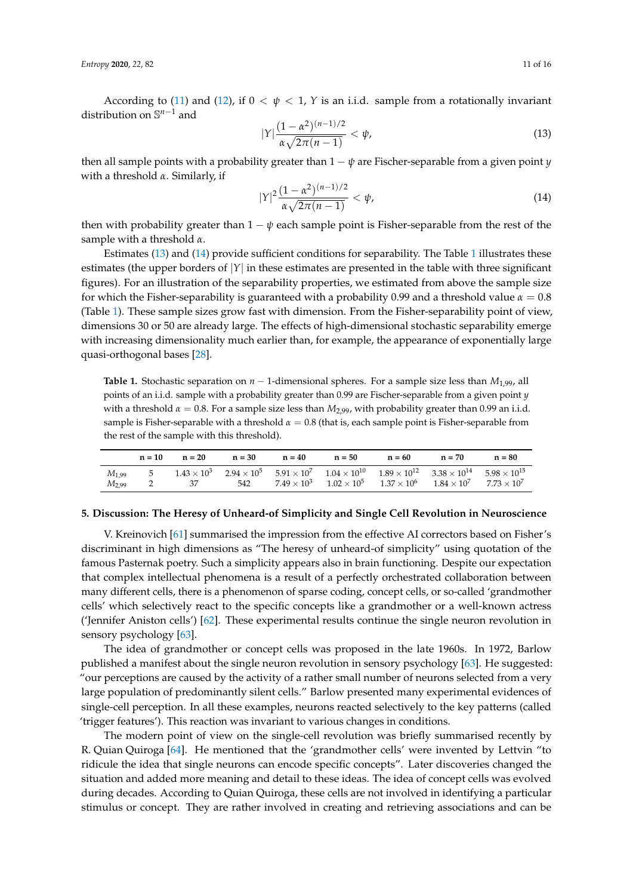According to [\(11\)](#page-9-1) and [\(12\)](#page-9-2), if  $0 < \psi < 1$ , *Y* is an i.i.d. sample from a rotationally invariant distribution on S *<sup>n</sup>*−<sup>1</sup> and

<span id="page-10-0"></span>
$$
|Y|\frac{(1-\alpha^2)^{(n-1)/2}}{\alpha\sqrt{2\pi(n-1)}} < \psi,
$$
\n(13)

then all sample points with a probability greater than  $1 - \psi$  are Fischer-separable from a given point *y* with a threshold *α*. Similarly, if

<span id="page-10-1"></span>
$$
|Y|^2 \frac{(1 - \alpha^2)^{(n-1)/2}}{\alpha \sqrt{2\pi (n-1)}} < \psi,\tag{14}
$$

then with probability greater than  $1 - \psi$  each sample point is Fisher-separable from the rest of the sample with a threshold *α*.

Estimates [\(13\)](#page-10-0) and [\(14\)](#page-10-1) provide sufficient conditions for separability. The Table [1](#page-10-2) illustrates these estimates (the upper borders of |*Y*| in these estimates are presented in the table with three significant figures). For an illustration of the separability properties, we estimated from above the sample size for which the Fisher-separability is guaranteed with a probability 0.99 and a threshold value  $\alpha = 0.8$ (Table [1\)](#page-10-2). These sample sizes grow fast with dimension. From the Fisher-separability point of view, dimensions 30 or 50 are already large. The effects of high-dimensional stochastic separability emerge with increasing dimensionality much earlier than, for example, the appearance of exponentially large quasi-orthogonal bases [\[28\]](#page-14-1).

<span id="page-10-2"></span>**Table 1.** Stochastic separation on  $n-1$ -dimensional spheres. For a sample size less than  $M_{1,99}$ , all points of an i.i.d. sample with a probability greater than 0.99 are Fischer-separable from a given point *y* with a threshold  $\alpha = 0.8$ . For a sample size less than  $M_{2,99}$ , with probability greater than 0.99 an i.i.d. sample is Fisher-separable with a threshold  $\alpha = 0.8$  (that is, each sample point is Fisher-separable from the rest of the sample with this threshold).

|            | $n = 10$ | $n = 20$ | $n = 30$ | $n = 40$           | $n = 50$                                                                                                                                         | $n = 60$ | $n = 70$ | $n = 80$ |
|------------|----------|----------|----------|--------------------|--------------------------------------------------------------------------------------------------------------------------------------------------|----------|----------|----------|
| $M_{1.99}$ | - 5      |          |          |                    | $1.43 \times 10^3$ $2.94 \times 10^5$ $5.91 \times 10^7$ $1.04 \times 10^{10}$ $1.89 \times 10^{12}$ $3.38 \times 10^{14}$ $5.98 \times 10^{15}$ |          |          |          |
| $M_{2.99}$ |          |          | 542      | $7.49 \times 10^3$ | $1.02 \times 10^5$ $1.37 \times 10^6$ $1.84 \times 10^7$ $7.73 \times 10^7$                                                                      |          |          |          |

#### **5. Discussion: The Heresy of Unheard-of Simplicity and Single Cell Revolution in Neuroscience**

V. Kreinovich [\[61\]](#page-15-10) summarised the impression from the effective AI correctors based on Fisher's discriminant in high dimensions as "The heresy of unheard-of simplicity" using quotation of the famous Pasternak poetry. Such a simplicity appears also in brain functioning. Despite our expectation that complex intellectual phenomena is a result of a perfectly orchestrated collaboration between many different cells, there is a phenomenon of sparse coding, concept cells, or so-called 'grandmother cells' which selectively react to the specific concepts like a grandmother or a well-known actress ('Jennifer Aniston cells') [\[62\]](#page-15-11). These experimental results continue the single neuron revolution in sensory psychology [\[63\]](#page-15-12).

The idea of grandmother or concept cells was proposed in the late 1960s. In 1972, Barlow published a manifest about the single neuron revolution in sensory psychology [\[63\]](#page-15-12). He suggested: "our perceptions are caused by the activity of a rather small number of neurons selected from a very large population of predominantly silent cells." Barlow presented many experimental evidences of single-cell perception. In all these examples, neurons reacted selectively to the key patterns (called 'trigger features'). This reaction was invariant to various changes in conditions.

The modern point of view on the single-cell revolution was briefly summarised recently by R. Quian Quiroga [\[64\]](#page-15-13). He mentioned that the 'grandmother cells' were invented by Lettvin "to ridicule the idea that single neurons can encode specific concepts". Later discoveries changed the situation and added more meaning and detail to these ideas. The idea of concept cells was evolved during decades. According to Quian Quiroga, these cells are not involved in identifying a particular stimulus or concept. They are rather involved in creating and retrieving associations and can be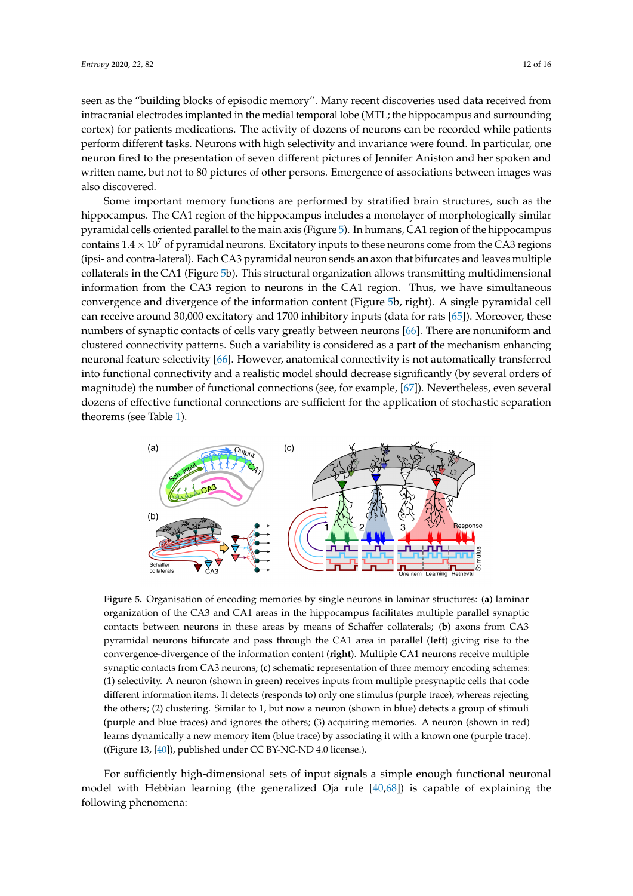seen as the "building blocks of episodic memory". Many recent discoveries used data received from intracranial electrodes implanted in the medial temporal lobe (MTL; the hippocampus and surrounding cortex) for patients medications. The activity of dozens of neurons can be recorded while patients perform different tasks. Neurons with high selectivity and invariance were found. In particular, one neuron fired to the presentation of seven different pictures of Jennifer Aniston and her spoken and written name, but not to 80 pictures of other persons. Emergence of associations between images was also discovered.

Some important memory functions are performed by stratified brain structures, such as the hippocampus. The CA1 region of the hippocampus includes a monolayer of morphologically similar pyramidal cells oriented parallel to the main axis (Figure [5\)](#page-11-0). In humans, CA1 region of the hippocampus contains  $1.4 \times 10^7$  of pyramidal neurons. Excitatory inputs to these neurons come from the CA3 regions (ipsi- and contra-lateral). Each CA3 pyramidal neuron sends an axon that bifurcates and leaves multiple collaterals in the CA1 (Figure [5b](#page-11-0)). This structural organization allows transmitting multidimensional information from the CA3 region to neurons in the CA1 region. Thus, we have simultaneous convergence and divergence of the information content (Figure [5b](#page-11-0), right). A single pyramidal cell can receive around 30,000 excitatory and 1700 inhibitory inputs (data for rats [\[65\]](#page-15-14)). Moreover, these numbers of synaptic contacts of cells vary greatly between neurons [\[66\]](#page-15-15). There are nonuniform and clustered connectivity patterns. Such a variability is considered as a part of the mechanism enhancing neuronal feature selectivity [\[66\]](#page-15-15). However, anatomical connectivity is not automatically transferred into functional connectivity and a realistic model should decrease significantly (by several orders of magnitude) the number of functional connections (see, for example, [\[67\]](#page-15-16)). Nevertheless, even several dozens of effective functional connections are sufficient for the application of stochastic separation theorems (see Table [1\)](#page-10-2).

<span id="page-11-0"></span>

**Figure 5.** Organisation of encoding memories by single neurons in laminar structures: (**a**) laminar organization of the CA3 and CA1 areas in the hippocampus facilitates multiple parallel synaptic contacts between neurons in these areas by means of Schaffer collaterals; (**b**) axons from CA3 pyramidal neurons bifurcate and pass through the CA1 area in parallel (**left**) giving rise to the convergence-divergence of the information content (**right**). Multiple CA1 neurons receive multiple synaptic contacts from CA3 neurons; (**c**) schematic representation of three memory encoding schemes: (1) selectivity. A neuron (shown in green) receives inputs from multiple presynaptic cells that code different information items. It detects (responds to) only one stimulus (purple trace), whereas rejecting the others; (2) clustering. Similar to 1, but now a neuron (shown in blue) detects a group of stimuli (purple and blue traces) and ignores the others; (3) acquiring memories. A neuron (shown in red) learns dynamically a new memory item (blue trace) by associating it with a known one (purple trace). ((Figure 13, [\[40\]](#page-14-13)), published under CC BY-NC-ND 4.0 license.).

For sufficiently high-dimensional sets of input signals a simple enough functional neuronal model with Hebbian learning (the generalized Oja rule [\[40](#page-14-13)[,68\]](#page-15-17)) is capable of explaining the following phenomena: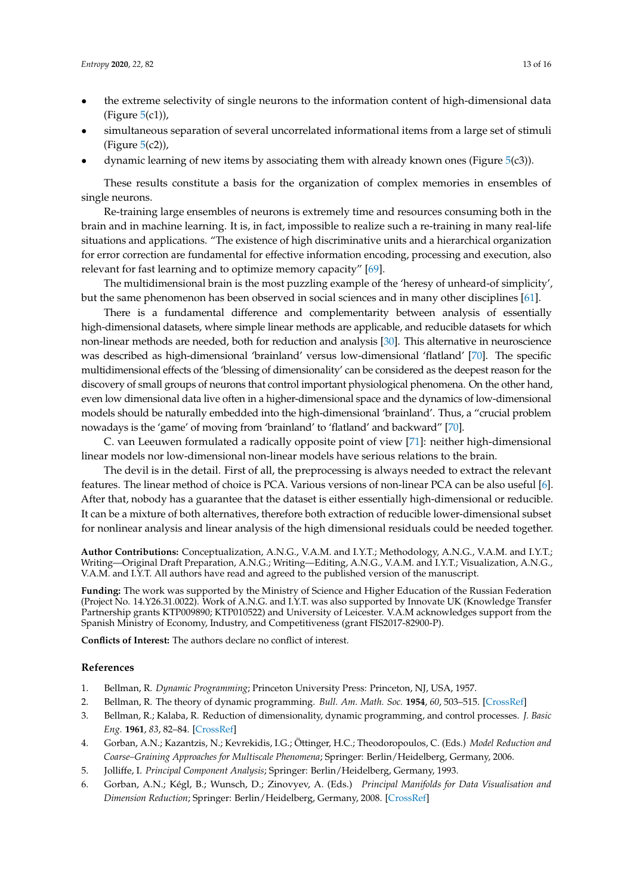- the extreme selectivity of single neurons to the information content of high-dimensional data (Figure  $5(c1)$  $5(c1)$ ),
- simultaneous separation of several uncorrelated informational items from a large set of stimuli (Figure [5\(](#page-11-0)c2)),
- dynamic learning of new items by associating them with already known ones (Figure [5\(](#page-11-0)c3)).

These results constitute a basis for the organization of complex memories in ensembles of single neurons.

Re-training large ensembles of neurons is extremely time and resources consuming both in the brain and in machine learning. It is, in fact, impossible to realize such a re-training in many real-life situations and applications. "The existence of high discriminative units and a hierarchical organization for error correction are fundamental for effective information encoding, processing and execution, also relevant for fast learning and to optimize memory capacity" [\[69\]](#page-15-18).

The multidimensional brain is the most puzzling example of the 'heresy of unheard-of simplicity', but the same phenomenon has been observed in social sciences and in many other disciplines [\[61\]](#page-15-10).

There is a fundamental difference and complementarity between analysis of essentially high-dimensional datasets, where simple linear methods are applicable, and reducible datasets for which non-linear methods are needed, both for reduction and analysis [\[30\]](#page-14-3). This alternative in neuroscience was described as high-dimensional 'brainland' versus low-dimensional 'flatland' [\[70\]](#page-15-19). The specific multidimensional effects of the 'blessing of dimensionality' can be considered as the deepest reason for the discovery of small groups of neurons that control important physiological phenomena. On the other hand, even low dimensional data live often in a higher-dimensional space and the dynamics of low-dimensional models should be naturally embedded into the high-dimensional 'brainland'. Thus, a "crucial problem nowadays is the 'game' of moving from 'brainland' to 'flatland' and backward" [\[70\]](#page-15-19).

C. van Leeuwen formulated a radically opposite point of view [\[71\]](#page-15-20): neither high-dimensional linear models nor low-dimensional non-linear models have serious relations to the brain.

The devil is in the detail. First of all, the preprocessing is always needed to extract the relevant features. The linear method of choice is PCA. Various versions of non-linear PCA can be also useful [\[6\]](#page-12-5). After that, nobody has a guarantee that the dataset is either essentially high-dimensional or reducible. It can be a mixture of both alternatives, therefore both extraction of reducible lower-dimensional subset for nonlinear analysis and linear analysis of the high dimensional residuals could be needed together.

**Author Contributions:** Conceptualization, A.N.G., V.A.M. and I.Y.T.; Methodology, A.N.G., V.A.M. and I.Y.T.; Writing—Original Draft Preparation, A.N.G.; Writing—Editing, A.N.G., V.A.M. and I.Y.T.; Visualization, A.N.G., V.A.M. and I.Y.T. All authors have read and agreed to the published version of the manuscript.

**Funding:** The work was supported by the Ministry of Science and Higher Education of the Russian Federation (Project No. 14.Y26.31.0022). Work of A.N.G. and I.Y.T. was also supported by Innovate UK (Knowledge Transfer Partnership grants KTP009890; KTP010522) and University of Leicester. V.A.M acknowledges support from the Spanish Ministry of Economy, Industry, and Competitiveness (grant FIS2017-82900-P).

**Conflicts of Interest:** The authors declare no conflict of interest.

## **References**

- <span id="page-12-1"></span><span id="page-12-0"></span>1. Bellman, R. *Dynamic Programming*; Princeton University Press: Princeton, NJ, USA, 1957.
- 2. Bellman, R. The theory of dynamic programming. *Bull. Am. Math. Soc.* **1954**, *60*, 503–515. [\[CrossRef\]](http://dx.doi.org/10.1090/S0002-9904-1954-09848-8)
- <span id="page-12-2"></span>3. Bellman, R.; Kalaba, R. Reduction of dimensionality, dynamic programming, and control processes. *J. Basic Eng.* **1961**, *83*, 82–84. [\[CrossRef\]](http://dx.doi.org/10.1115/1.3658896)
- <span id="page-12-3"></span>4. Gorban, A.N.; Kazantzis, N.; Kevrekidis, I.G.; Öttinger, H.C.; Theodoropoulos, C. (Eds.) *Model Reduction and Coarse–Graining Approaches for Multiscale Phenomena*; Springer: Berlin/Heidelberg, Germany, 2006.
- <span id="page-12-5"></span><span id="page-12-4"></span>5. Jolliffe, I. *Principal Component Analysis*; Springer: Berlin/Heidelberg, Germany, 1993.
- 6. Gorban, A.N.; Kégl, B.; Wunsch, D.; Zinovyev, A. (Eds.) *Principal Manifolds for Data Visualisation and Dimension Reduction*; Springer: Berlin/Heidelberg, Germany, 2008. [\[CrossRef\]](http://dx.doi.org/10.1007/978-3-540-73750-6)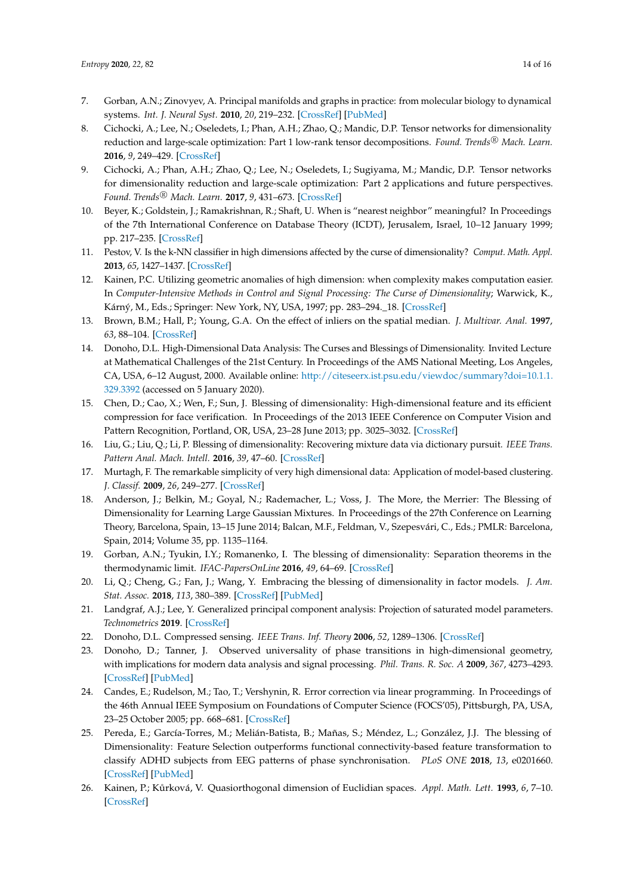- <span id="page-13-0"></span>7. Gorban, A.N.; Zinovyev, A. Principal manifolds and graphs in practice: from molecular biology to dynamical systems. *Int. J. Neural Syst.* **2010**, *20*, 219–232. [\[CrossRef\]](http://dx.doi.org/10.1142/S0129065710002383) [\[PubMed\]](http://www.ncbi.nlm.nih.gov/pubmed/20556849)
- <span id="page-13-1"></span>8. Cichocki, A.; Lee, N.; Oseledets, I.; Phan, A.H.; Zhao, Q.; Mandic, D.P. Tensor networks for dimensionality reduction and large-scale optimization: Part 1 low-rank tensor decompositions. Found. Trends<sup>®</sup> Mach. Learn. **2016**, *9*, 249–429. [\[CrossRef\]](http://dx.doi.org/10.1561/2200000059)
- <span id="page-13-2"></span>9. Cichocki, A.; Phan, A.H.; Zhao, Q.; Lee, N.; Oseledets, I.; Sugiyama, M.; Mandic, D.P. Tensor networks for dimensionality reduction and large-scale optimization: Part 2 applications and future perspectives. *Found. Trends* <sup>R</sup> *Mach. Learn.* **2017**, *9*, 431–673. [\[CrossRef\]](http://dx.doi.org/10.1561/2200000067)
- <span id="page-13-3"></span>10. Beyer, K.; Goldstein, J.; Ramakrishnan, R.; Shaft, U. When is "nearest neighbor" meaningful? In Proceedings of the 7th International Conference on Database Theory (ICDT), Jerusalem, Israel, 10–12 January 1999; pp. 217–235. [\[CrossRef\]](http://dx.doi.org/10.1007/3-540-49257-7_15)
- <span id="page-13-4"></span>11. Pestov, V. Is the k-NN classifier in high dimensions affected by the curse of dimensionality? *Comput. Math. Appl.* **2013**, *65*, 1427–1437. [\[CrossRef\]](http://dx.doi.org/10.1016/j.camwa.2012.09.011)
- <span id="page-13-5"></span>12. Kainen, P.C. Utilizing geometric anomalies of high dimension: when complexity makes computation easier. In *Computer-Intensive Methods in Control and Signal Processing: The Curse of Dimensionality*; Warwick, K., Kárný, M., Eds.; Springer: New York, NY, USA, 1997; pp. 283–294.\_18. [\[CrossRef\]](http://dx.doi.org/10.1007/978-1-4612-1996-5_18)
- <span id="page-13-6"></span>13. Brown, B.M.; Hall, P.; Young, G.A. On the effect of inliers on the spatial median. *J. Multivar. Anal.* **1997**, *63*, 88–104. [\[CrossRef\]](http://dx.doi.org/10.1006/jmva.1997.1691)
- <span id="page-13-7"></span>14. Donoho, D.L. High-Dimensional Data Analysis: The Curses and Blessings of Dimensionality. Invited Lecture at Mathematical Challenges of the 21st Century. In Proceedings of the AMS National Meeting, Los Angeles, CA, USA, 6–12 August, 2000. Available online: [http://citeseerx.ist.psu.edu/viewdoc/summary?doi=10.1.1.](http://citeseerx.ist.psu.edu/viewdoc/summary?doi=10.1.1.329.3392) [329.3392](http://citeseerx.ist.psu.edu/viewdoc/summary?doi=10.1.1.329.3392) (accessed on 5 January 2020).
- <span id="page-13-8"></span>15. Chen, D.; Cao, X.; Wen, F.; Sun, J. Blessing of dimensionality: High-dimensional feature and its efficient compression for face verification. In Proceedings of the 2013 IEEE Conference on Computer Vision and Pattern Recognition, Portland, OR, USA, 23–28 June 2013; pp. 3025–3032. [\[CrossRef\]](http://dx.doi.org/10.1109/CVPR.2013.389)
- <span id="page-13-9"></span>16. Liu, G.; Liu, Q.; Li, P. Blessing of dimensionality: Recovering mixture data via dictionary pursuit. *IEEE Trans. Pattern Anal. Mach. Intell.* **2016**, *39*, 47–60. [\[CrossRef\]](http://dx.doi.org/10.1109/TPAMI.2016.2539946)
- <span id="page-13-10"></span>17. Murtagh, F. The remarkable simplicity of very high dimensional data: Application of model-based clustering. *J. Classif.* **2009**, *26*, 249–277. [\[CrossRef\]](http://dx.doi.org/10.1007/s00357-009-9037-9)
- <span id="page-13-11"></span>18. Anderson, J.; Belkin, M.; Goyal, N.; Rademacher, L.; Voss, J. The More, the Merrier: The Blessing of Dimensionality for Learning Large Gaussian Mixtures. In Proceedings of the 27th Conference on Learning Theory, Barcelona, Spain, 13–15 June 2014; Balcan, M.F., Feldman, V., Szepesvári, C., Eds.; PMLR: Barcelona, Spain, 2014; Volume 35, pp. 1135–1164.
- <span id="page-13-12"></span>19. Gorban, A.N.; Tyukin, I.Y.; Romanenko, I. The blessing of dimensionality: Separation theorems in the thermodynamic limit. *IFAC-PapersOnLine* **2016**, *49*, 64–69. [\[CrossRef\]](http://dx.doi.org/10.1016/j.ifacol.2016.10.755)
- <span id="page-13-13"></span>20. Li, Q.; Cheng, G.; Fan, J.; Wang, Y. Embracing the blessing of dimensionality in factor models. *J. Am. Stat. Assoc.* **2018**, *113*, 380–389. [\[CrossRef\]](http://dx.doi.org/10.1080/01621459.2016.1256815) [\[PubMed\]](http://www.ncbi.nlm.nih.gov/pubmed/29930437)
- <span id="page-13-14"></span>21. Landgraf, A.J.; Lee, Y. Generalized principal component analysis: Projection of saturated model parameters. *Technometrics* **2019**. [\[CrossRef\]](http://dx.doi.org/10.1080/00401706.2019.1668854)
- <span id="page-13-15"></span>22. Donoho, D.L. Compressed sensing. *IEEE Trans. Inf. Theory* **2006**, *52*, 1289–1306. [\[CrossRef\]](http://dx.doi.org/10.1109/TIT.2006.871582)
- <span id="page-13-16"></span>23. Donoho, D.; Tanner, J. Observed universality of phase transitions in high-dimensional geometry, with implications for modern data analysis and signal processing. *Phil. Trans. R. Soc. A* **2009**, *367*, 4273–4293. [\[CrossRef\]](http://dx.doi.org/10.1098/rsta.2009.0152) [\[PubMed\]](http://www.ncbi.nlm.nih.gov/pubmed/19805445)
- <span id="page-13-17"></span>24. Candes, E.; Rudelson, M.; Tao, T.; Vershynin, R. Error correction via linear programming. In Proceedings of the 46th Annual IEEE Symposium on Foundations of Computer Science (FOCS'05), Pittsburgh, PA, USA, 23–25 October 2005; pp. 668–681. [\[CrossRef\]](http://dx.doi.org/10.1109/SFCS.2005.5464411)
- <span id="page-13-18"></span>25. Pereda, E.; García-Torres, M.; Melián-Batista, B.; Mañas, S.; Méndez, L.; González, J.J. The blessing of Dimensionality: Feature Selection outperforms functional connectivity-based feature transformation to classify ADHD subjects from EEG patterns of phase synchronisation. *PLoS ONE* **2018**, *13*, e0201660. [\[CrossRef\]](http://dx.doi.org/10.1371/journal.pone.0201660) [\[PubMed\]](http://www.ncbi.nlm.nih.gov/pubmed/30114248)
- <span id="page-13-19"></span>26. Kainen, P.; Kůrková, V. Quasiorthogonal dimension of Euclidian spaces. *Appl. Math. Lett.* **1993**, 6, 7–10. [\[CrossRef\]](http://dx.doi.org/10.1016/0893-9659(93)90023-G)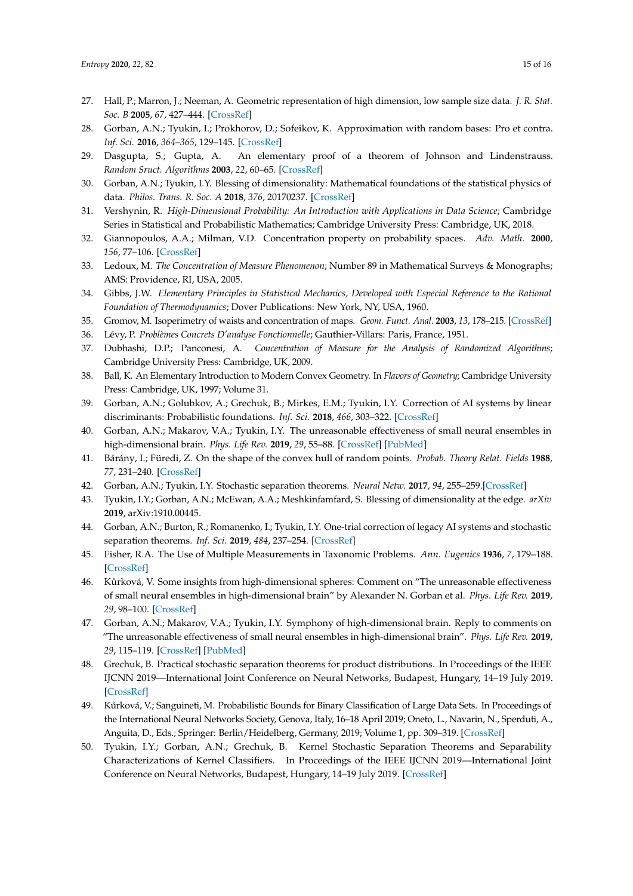- <span id="page-14-0"></span>27. Hall, P.; Marron, J.; Neeman, A. Geometric representation of high dimension, low sample size data. *J. R. Stat. Soc. B* **2005**, *67*, 427–444. [\[CrossRef\]](http://dx.doi.org/10.1111/j.1467-9868.2005.00510.x)
- <span id="page-14-1"></span>28. Gorban, A.N.; Tyukin, I.; Prokhorov, D.; Sofeikov, K. Approximation with random bases: Pro et contra. *Inf. Sci.* **2016**, *364–365*, 129–145. [\[CrossRef\]](http://dx.doi.org/10.1016/j.ins.2015.09.021)
- <span id="page-14-2"></span>29. Dasgupta, S.; Gupta, A. An elementary proof of a theorem of Johnson and Lindenstrauss. *Random Sruct. Algorithms* **2003**, *22*, 60–65. [\[CrossRef\]](http://dx.doi.org/10.1002/rsa.10073)
- <span id="page-14-3"></span>30. Gorban, A.N.; Tyukin, I.Y. Blessing of dimensionality: Mathematical foundations of the statistical physics of data. *Philos. Trans. R. Soc. A* **2018**, *376*, 20170237. [\[CrossRef\]](http://dx.doi.org/10.1098/rsta.2017.0237)
- <span id="page-14-4"></span>31. Vershynin, R. *High-Dimensional Probability: An Introduction with Applications in Data Science*; Cambridge Series in Statistical and Probabilistic Mathematics; Cambridge University Press: Cambridge, UK, 2018.
- <span id="page-14-9"></span>32. Giannopoulos, A.A.; Milman, V.D. Concentration property on probability spaces. *Adv. Math.* **2000**, *156*, 77–106. [\[CrossRef\]](http://dx.doi.org/10.1006/aima.2000.1949)
- <span id="page-14-5"></span>33. Ledoux, M. *The Concentration of Measure Phenomenon*; Number 89 in Mathematical Surveys & Monographs; AMS: Providence, RI, USA, 2005.
- <span id="page-14-6"></span>34. Gibbs, J.W. *Elementary Principles in Statistical Mechanics, Developed with Especial Reference to the Rational Foundation of Thermodynamics*; Dover Publications: New York, NY, USA, 1960.
- <span id="page-14-7"></span>35. Gromov, M. Isoperimetry of waists and concentration of maps. *Geom. Funct. Anal.* **2003**, *13*, 178–215. [\[CrossRef\]](http://dx.doi.org/10.1007/s000390300004)
- <span id="page-14-10"></span><span id="page-14-8"></span>36. Lévy, P. *Problèmes Concrets D'analyse Fonctionnelle*; Gauthier-Villars: Paris, France, 1951.
- 37. Dubhashi, D.P.; Panconesi, A. *Concentration of Measure for the Analysis of Randomized Algorithms*; Cambridge University Press: Cambridge, UK, 2009.
- <span id="page-14-11"></span>38. Ball, K. An Elementary Introduction to Modern Convex Geometry. In *Flavors of Geometry*; Cambridge University Press: Cambridge, UK, 1997; Volume 31.
- <span id="page-14-12"></span>39. Gorban, A.N.; Golubkov, A.; Grechuk, B.; Mirkes, E.M.; Tyukin, I.Y. Correction of AI systems by linear discriminants: Probabilistic foundations. *Inf. Sci.* **2018**, *466*, 303–322. [\[CrossRef\]](http://dx.doi.org/10.1016/j.ins.2018.07.040)
- <span id="page-14-13"></span>40. Gorban, A.N.; Makarov, V.A.; Tyukin, I.Y. The unreasonable effectiveness of small neural ensembles in high-dimensional brain. *Phys. Life Rev.* **2019**, *29*, 55–88. [\[CrossRef\]](http://dx.doi.org/10.1016/j.plrev.2018.09.005) [\[PubMed\]](http://www.ncbi.nlm.nih.gov/pubmed/30366739)
- <span id="page-14-14"></span>41. Bárány, I.; Füredi, Z. On the shape of the convex hull of random points. *Probab. Theory Relat. Fields* **1988**, *77*, 231–240. [\[CrossRef\]](http://dx.doi.org/10.1007/BF00334039)
- <span id="page-14-15"></span>42. Gorban, A.N.; Tyukin, I.Y. Stochastic separation theorems. *Neural Netw.* **2017**, *94*, 255–259.[\[CrossRef\]](http://dx.doi.org/10.1016/j.neunet.2017.07.014)
- <span id="page-14-16"></span>43. Tyukin, I.Y.; Gorban, A.N.; McEwan, A.A.; Meshkinfamfard, S. Blessing of dimensionality at the edge. *arXiv* **2019**, arXiv:1910.00445.
- <span id="page-14-17"></span>44. Gorban, A.N.; Burton, R.; Romanenko, I.; Tyukin, I.Y. One-trial correction of legacy AI systems and stochastic separation theorems. *Inf. Sci.* **2019**, *484*, 237–254. [\[CrossRef\]](http://dx.doi.org/10.1016/j.ins.2019.02.001)
- <span id="page-14-18"></span>45. Fisher, R.A. The Use of Multiple Measurements in Taxonomic Problems. *Ann. Eugenics* **1936**, *7*, 179–188. [\[CrossRef\]](http://dx.doi.org/10.1111/j.1469-1809.1936.tb02137.x)
- <span id="page-14-19"></span>46. Kůrková, V. Some insights from high-dimensional spheres: Comment on "The unreasonable effectiveness of small neural ensembles in high-dimensional brain" by Alexander N. Gorban et al. *Phys. Life Rev.* **2019**, *29*, 98–100. [\[CrossRef\]](http://dx.doi.org/10.1016/j.plrev.2019.03.014)
- <span id="page-14-20"></span>47. Gorban, A.N.; Makarov, V.A.; Tyukin, I.Y. Symphony of high-dimensional brain. Reply to comments on "The unreasonable effectiveness of small neural ensembles in high-dimensional brain". *Phys. Life Rev.* **2019**, *29*, 115–119. [\[CrossRef\]](http://dx.doi.org/10.1016/j.plrev.2019.06.003) [\[PubMed\]](http://www.ncbi.nlm.nih.gov/pubmed/31272910)
- <span id="page-14-21"></span>48. Grechuk, B. Practical stochastic separation theorems for product distributions. In Proceedings of the IEEE IJCNN 2019—International Joint Conference on Neural Networks, Budapest, Hungary, 14–19 July 2019. [\[CrossRef\]](http://dx.doi.org/10.1109/IJCNN.2019.8851817)
- <span id="page-14-22"></span>49. Kůrková, V.; Sanguineti, M. Probabilistic Bounds for Binary Classification of Large Data Sets. In Proceedings of the International Neural Networks Society, Genova, Italy, 16–18 April 2019; Oneto, L., Navarin, N., Sperduti, A., Anguita, D., Eds.; Springer: Berlin/Heidelberg, Germany, 2019; Volume 1, pp. 309–319. [\[CrossRef\]](http://dx.doi.org/10.1007/978-3-030-16841-4_32)
- <span id="page-14-23"></span>50. Tyukin, I.Y.; Gorban, A.N.; Grechuk, B. Kernel Stochastic Separation Theorems and Separability Characterizations of Kernel Classifiers. In Proceedings of the IEEE IJCNN 2019—International Joint Conference on Neural Networks, Budapest, Hungary, 14–19 July 2019. [\[CrossRef\]](http://dx.doi.org/10.1109/IJCNN.2019.8852278)